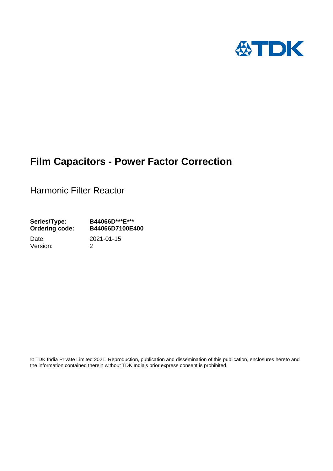

# **Film Capacitors - Power Factor Correction**

Harmonic Filter Reactor

**Series/Type: B44066D\*\*\*E\*\*\* Ordering code: B44066D7100E400**

Version: 2

Date: 2021-01-15

 TDK India Private Limited 2021. Reproduction, publication and dissemination of this publication, enclosures hereto and the information contained therein without TDK India's prior express consent is prohibited.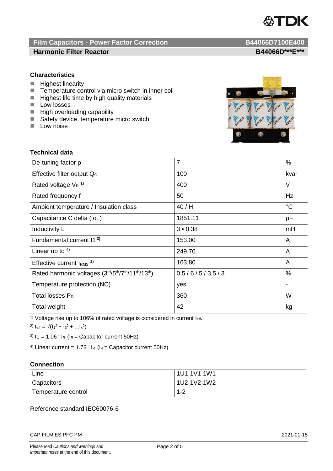

## **Film Capacitors - Power Factor Correction B44066D7100E400 Harmonic Filter Reactor B44066D\*\*\*E\*\*\***

## **Characteristics**

- **Highest linearity**
- $\blacksquare$  Temperature control via micro switch in inner coil<br> $\blacksquare$  Highest life time by high quality materials
- Highest life time by high quality materials
- **Low losses**
- **High overloading capability**
- Safety device, temperature micro switch
- $\blacksquare$  Low noise



## **Technical data**

| De-tuning factor p                              | $\overline{7}$ | %           |
|-------------------------------------------------|----------------|-------------|
| Effective filter output Q <sub>c</sub>          | 100            | kvar        |
| Rated voltage $V_R$ <sup>1)</sup>               | 400            | V           |
| Rated frequency f                               | 50             | Hz          |
| Ambient temperature / Insulation class          | 40/H           | $^{\circ}C$ |
| Capacitance C delta (tot.)                      | 1851.11        | μF          |
| Inductivity L                                   | 3 • 0.38       | mH          |
| Fundamental current 11 <sup>3)</sup>            | 153.00         | A           |
| Linear up to $4$ )                              | 249.70         | A           |
| Effective current $IRMS$ <sup>2)</sup>          | 163.80         | A           |
| Rated harmonic voltages (3rd/5th/7th/11th/13th) | 0.5/6/5/3.5/3  | %           |
| Temperature protection (NC)                     | yes            |             |
| Total losses $P_D$                              | 360            | W           |
| Total weight                                    | 42             | kg          |

<sup>1)</sup> Voltage rise up to 106% of rated voltage is considered in current  $I_{\text{eff}}$ .

2)  $I_{\text{eff}} = \sqrt{(I_1^2 + I_3^2 + ... I_x^2)}$ 

 $3)$   $11 = 1.06$   $\cdot$   $I_R$  ( $I_R$  = Capacitor current 50Hz)

<sup>4)</sup> Linear current =  $1.73 \cdot I_R$  ( $I_R$  = Capacitor current 50Hz)

## **Connection**

| Line                | 1U1-1V1-1W1 |
|---------------------|-------------|
| Capacitors          | 1U2-1V2-1W2 |
| Temperature control | $1 - 2$     |

## Reference standard IEC60076-6

### CAP FILM ES PFC PM 2021-01-15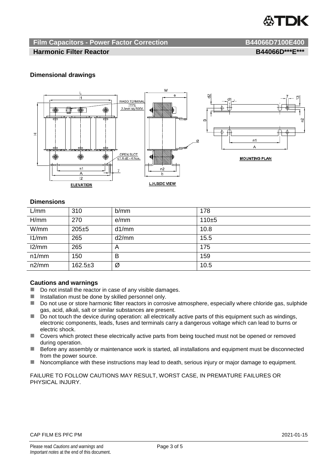

## **Film Capacitors - Power Factor Correction B44066D7100E400**

## **Harmonic Filter Reactor B44066D\*\*\*E\*\*\***

## **Dimensional drawings**



## **Dimensions**

| L/mm  | 310       | b/mm  | 178   |
|-------|-----------|-------|-------|
| H/mm  | 270       | e/mm  | 110±5 |
| W/mm  | $205 + 5$ | d1/mm | 10.8  |
| 11/mm | 265       | d2/mm | 15.5  |
| 12/mm | 265       | A     | 175   |
| n1/mm | 150       | в     | 159   |
| n2/mm | $162.5+3$ | Ø     | 10.5  |

## **Cautions and warnings**

- Do not install the reactor in case of any visible damages.
- $\blacksquare$  Installation must be done by skilled personnel only.
- Do not use or store harmonic filter reactors in corrosive atmosphere, especially where chloride gas, sulphide gas, acid, alkali, salt or similar substances are present.
- $\Box$  Do not touch the device during operation: all electrically active parts of this equipment such as windings, electronic components, leads, fuses and terminals carry a dangerous voltage which can lead to burns or electric shock.
- Covers which protect these electrically active parts from being touched must not be opened or removed during operation.
- Before any assembly or maintenance work is started, all installations and equipment must be disconnected from the power source.
- Noncompliance with these instructions may lead to death, serious injury or major damage to equipment.

FAILURE TO FOLLOW CAUTIONS MAY RESULT, WORST CASE, IN PREMATURE FAILURES OR PHYSICAL INJURY.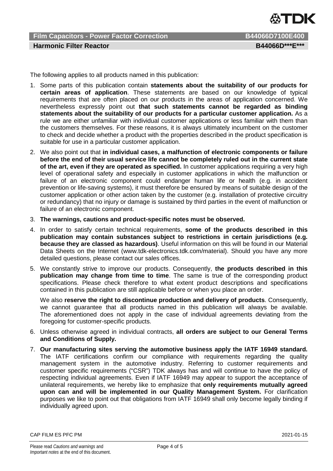

**Film Capacitors - Power Factor Correction B44066D7100E400 Harmonic Filter Reactor B44066D\*\*\*E\*\*\***

The following applies to all products named in this publication:

- 1. Some parts of this publication contain **statements about the suitability of our products for certain areas of application**. These statements are based on our knowledge of typical requirements that are often placed on our products in the areas of application concerned. We nevertheless expressly point out **that such statements cannot be regarded as binding statements about the suitability of our products for a particular customer application.** As a rule we are either unfamiliar with individual customer applications or less familiar with them than the customers themselves. For these reasons, it is always ultimately incumbent on the customer to check and decide whether a product with the properties described in the product specification is suitable for use in a particular customer application.
- 2. We also point out that **in individual cases, a malfunction of electronic components or failure before the end of their usual service life cannot be completely ruled out in the current state of the art, even if they are operated as specified.** In customer applications requiring a very high level of operational safety and especially in customer applications in which the malfunction or failure of an electronic component could endanger human life or health (e.g. in accident prevention or life-saving systems), it must therefore be ensured by means of suitable design of the customer application or other action taken by the customer (e.g. installation of protective circuitry or redundancy) that no injury or damage is sustained by third parties in the event of malfunction or failure of an electronic component.
- 3. **The warnings, cautions and product-specific notes must be observed.**
- 4. In order to satisfy certain technical requirements, **some of the products described in this publication may contain substances subject to restrictions in certain jurisdictions (e.g. because they are classed as hazardous)**. Useful information on this will be found in our Material Data Sheets on the Internet (www.tdk-electronics.tdk.com/material). Should you have any more detailed questions, please contact our sales offices.
- 5. We constantly strive to improve our products. Consequently, **the products described in this publication may change from time to time**. The same is true of the corresponding product specifications. Please check therefore to what extent product descriptions and specifications contained in this publication are still applicable before or when you place an order.

We also **reserve the right to discontinue production and delivery of products**. Consequently, we cannot guarantee that all products named in this publication will always be available. The aforementioned does not apply in the case of individual agreements deviating from the foregoing for customer-specific products.

- 6. Unless otherwise agreed in individual contracts, **all orders are subject to our General Terms and Conditions of Supply.**
- 7. **Our manufacturing sites serving the automotive business apply the IATF 16949 standard.** The IATF certifications confirm our compliance with requirements regarding the quality management system in the automotive industry. Referring to customer requirements and customer specific requirements ("CSR") TDK always has and will continue to have the policy of respecting individual agreements. Even if IATF 16949 may appear to support the acceptance of unilateral requirements, we hereby like to emphasize that **only requirements mutually agreed upon can and will be implemented in our Quality Management System.** For clarification purposes we like to point out that obligations from IATF 16949 shall only become legally binding if individually agreed upon.